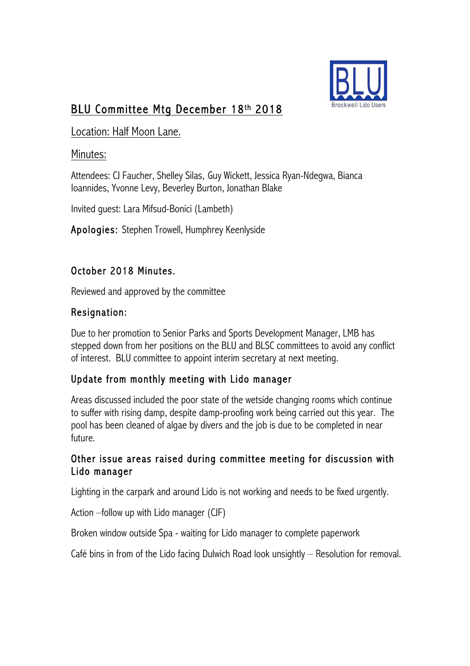

## BLU Committee Mtg December 18th 2018

Location: Half Moon Lane.

#### Minutes:

Attendees: CJ Faucher, Shelley Silas, Guy Wickett, Jessica Ryan-Ndegwa, Bianca Ioannides, Yvonne Levy, Beverley Burton, Jonathan Blake

Invited guest: Lara Mifsud-Bonici (Lambeth)

Apologies: Stephen Trowell, Humphrey Keenlyside

### October 2018 Minutes.

Reviewed and approved by the committee

### Resignation:

Due to her promotion to Senior Parks and Sports Development Manager, LMB has stepped down from her positions on the BLU and BLSC committees to avoid any conflict of interest. BLU committee to appoint interim secretary at next meeting.

## Update from monthly meeting with Lido manager

Areas discussed included the poor state of the wetside changing rooms which continue to suffer with rising damp, despite damp-proofing work being carried out this year. The pool has been cleaned of algae by divers and the job is due to be completed in near future.

#### Other issue areas raised during committee meeting for discussion with Lido manager

Lighting in the carpark and around Lido is not working and needs to be fixed urgently.

Action –follow up with Lido manager (CJF)

Broken window outside Spa - waiting for Lido manager to complete paperwork

Café bins in from of the Lido facing Dulwich Road look unsightly – Resolution for removal.